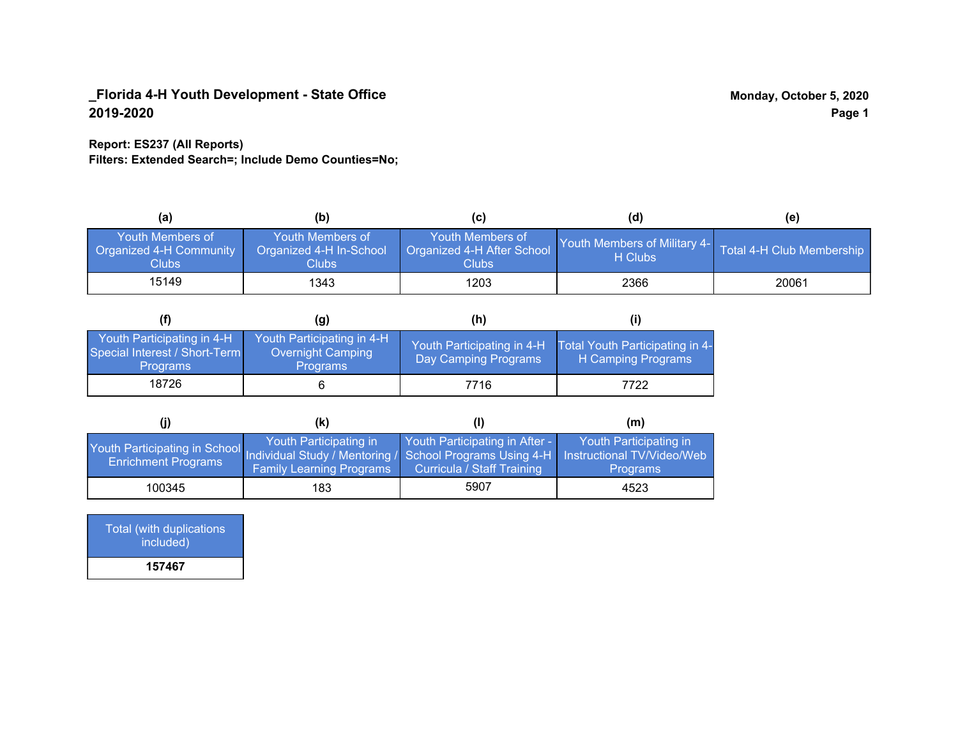#### **Report: ES237 (All Reports)**

**Filters: Extended Search=; Include Demo Counties=No;**

| (a)                                                                | (b)                                                                | (C)                                                     | (d)                                            | (e)                       |
|--------------------------------------------------------------------|--------------------------------------------------------------------|---------------------------------------------------------|------------------------------------------------|---------------------------|
| <b>Youth Members of</b><br>Organized 4-H Community<br><b>Clubs</b> | <b>Youth Members of</b><br>Organized 4-H In-School<br><b>Clubs</b> | Youth Members of<br>Organized 4-H After School<br>Clubs | <b>Youth Members of Military 4-</b><br>H Clubs | Total 4-H Club Membership |
| 15149                                                              | 1343                                                               | 1203                                                    | 2366                                           | 20061                     |

|                                                                                | (g)                                                                | (h)                  |                                                                                  |
|--------------------------------------------------------------------------------|--------------------------------------------------------------------|----------------------|----------------------------------------------------------------------------------|
| Youth Participating in 4-H<br>Special Interest / Short-Term<br><b>Programs</b> | Youth Participating in 4-H<br>Overnight Camping<br><b>Programs</b> | Day Camping Programs | Youth Participating in 4-H Total Youth Participating in 4-<br>H Camping Programs |
| 18726                                                                          |                                                                    | 7716                 | 7722                                                                             |

|                                                                                                                                                 | (k)                                                       |                                                                     | (m)                                       |
|-------------------------------------------------------------------------------------------------------------------------------------------------|-----------------------------------------------------------|---------------------------------------------------------------------|-------------------------------------------|
| Youth Participating in School Individual Study / Mentoring / School Programs Using 4-H Instructional TV/Video/Web<br><b>Enrichment Programs</b> | Youth Participating in<br><b>Family Learning Programs</b> | Youth Participating in After -<br><b>Curricula / Staff Training</b> | Youth Participating in<br><b>Programs</b> |
| 100345                                                                                                                                          | 183                                                       | 5907                                                                | 4523                                      |

| <b>Total (with duplications</b><br>included) |
|----------------------------------------------|
| 157467                                       |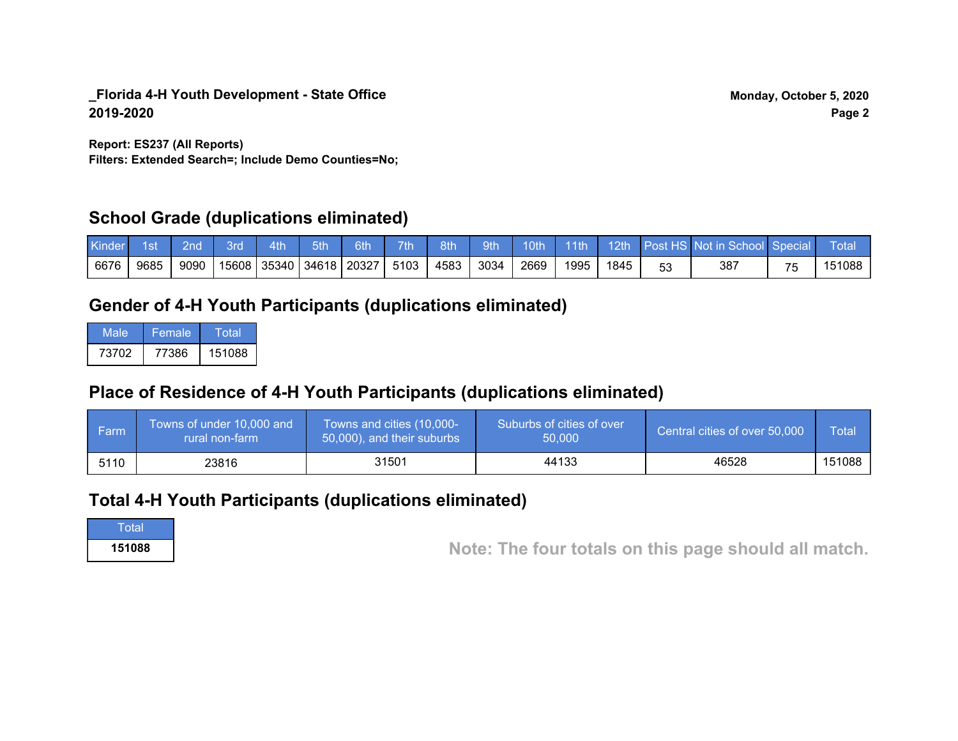**Filters: Extended Search=; Include Demo Counties=No; Report: ES237 (All Reports)**

### **School Grade (duplications eliminated)**

| Kinder | 1st  | 2nd' | 3rd | 4th | 5th                           | 6th | 7 <sup>th</sup> | 8th  | 9th  | 10th |      |      |    | 11th 12th Post HS Not in School Special |    | Total  |
|--------|------|------|-----|-----|-------------------------------|-----|-----------------|------|------|------|------|------|----|-----------------------------------------|----|--------|
| 6676   | 9685 | 9090 |     |     | 15608   35340   34618   20327 |     | 5103            | 4583 | 3034 | 2669 | 1995 | 1845 | 53 | 387                                     | 75 | .51088 |

# **Gender of 4-H Youth Participants (duplications eliminated)**

| Male  | Female | Total  |
|-------|--------|--------|
| 73702 | 77386  | 151088 |

# **Place of Residence of 4-H Youth Participants (duplications eliminated)**

| i Farmi | Towns of under 10,000 and<br>rural non-farm | Towns and cities (10,000-<br>50,000), and their suburbs | Suburbs of cities of over<br>50.000 | Central cities of over 50,000 | Total  |
|---------|---------------------------------------------|---------------------------------------------------------|-------------------------------------|-------------------------------|--------|
| 5110    | 23816                                       | 31501                                                   | 44133                               | 46528                         | 151088 |

# **Total 4-H Youth Participants (duplications eliminated)**

Total

**151088 Note: The four totals on this page should all match.**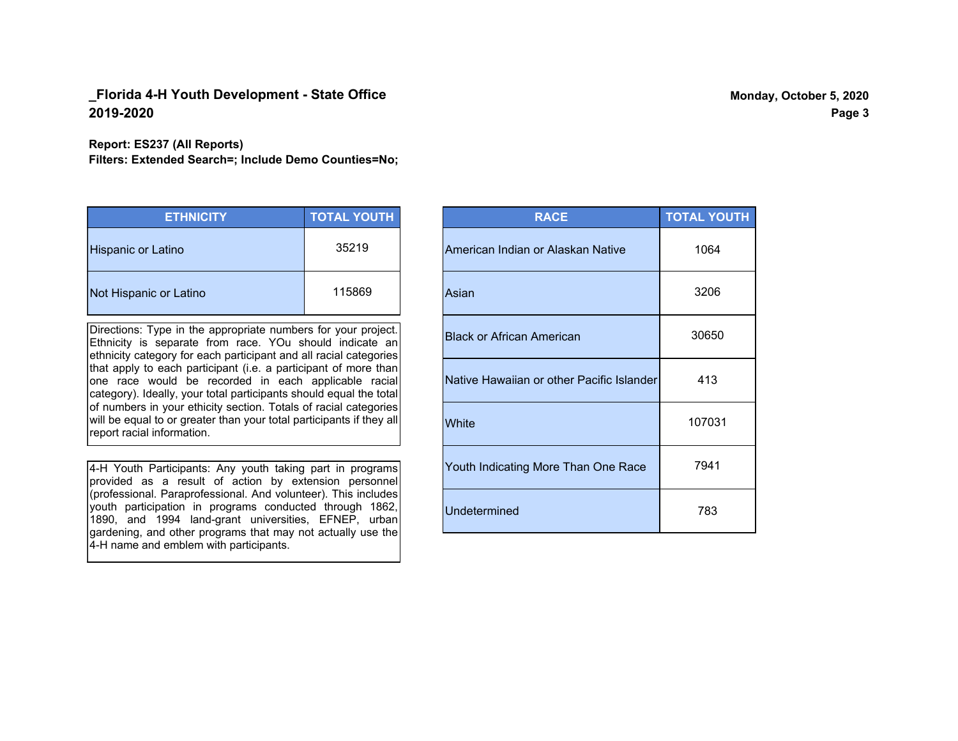#### **Report: ES237 (All Reports)**

**Filters: Extended Search=; Include Demo Counties=No;**

| <b>ETHNICITY</b>          | <b>TOTAL YOUTH</b> |
|---------------------------|--------------------|
| <b>Hispanic or Latino</b> | 35219              |
| Not Hispanic or Latino    | 115869             |

Directions: Type in the appropriate numbers for your project. Ethnicity is separate from race. YOu should indicate an ethnicity category for each participant and all racial categories that apply to each participant (i.e. a participant of more than one race would be recorded in each applicable racial category). Ideally, your total participants should equal the total of numbers in your ethicity section. Totals of racial categories will be equal to or greater than your total participants if they all report racial information.

4-H Youth Participants: Any youth taking part in programs provided as a result of action by extension personnel (professional. Paraprofessional. And volunteer). This includes youth participation in programs conducted through 1862, 1890, and 1994 land-grant universities, EFNEP, urban gardening, and other programs that may not actually use the 4-H name and emblem with participants.

| <b>RACE</b>                               | <b>TOTAL YOUTH</b> |
|-------------------------------------------|--------------------|
| American Indian or Alaskan Native         | 1064               |
| Asian                                     | 3206               |
| <b>Black or African American</b>          | 30650              |
| Native Hawaiian or other Pacific Islander | 413                |
| White                                     | 107031             |
| Youth Indicating More Than One Race       | 7941               |
| Undetermined                              | 783                |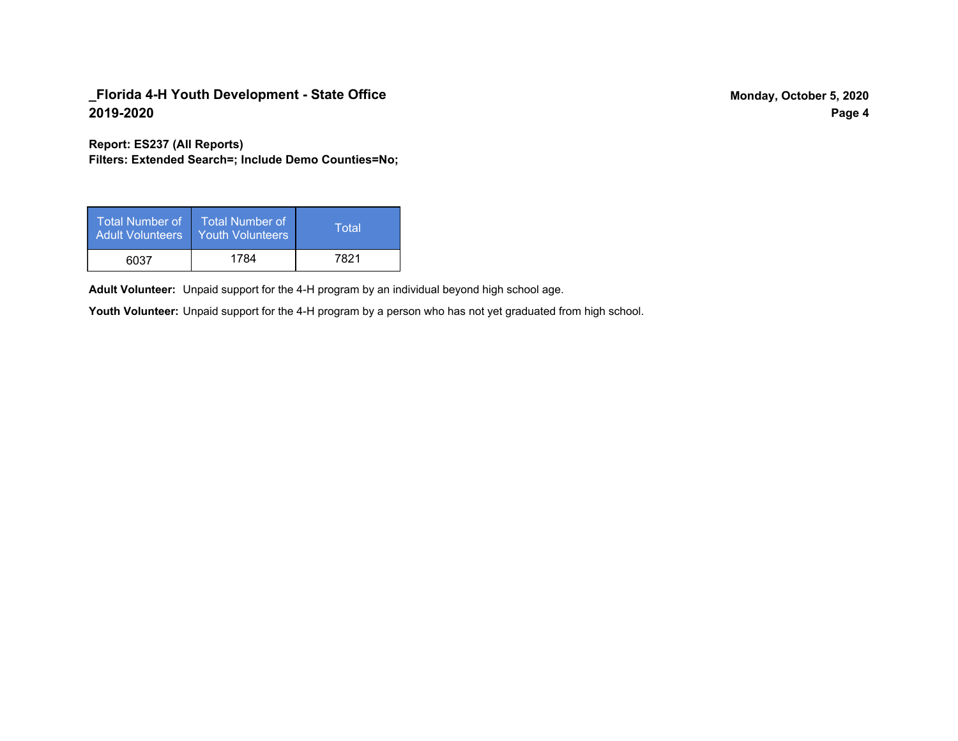**Report: ES237 (All Reports)**

**Filters: Extended Search=; Include Demo Counties=No;**

| <b>Total Number of</b><br><b>Adult Volunteers</b> | <b>Total Number of</b><br><b>Youth Volunteers</b> | Total |
|---------------------------------------------------|---------------------------------------------------|-------|
| 6037                                              | 1784                                              | 7821  |

Adult Volunteer: Unpaid support for the 4-H program by an individual beyond high school age.

Youth Volunteer: Unpaid support for the 4-H program by a person who has not yet graduated from high school.

**Page 4**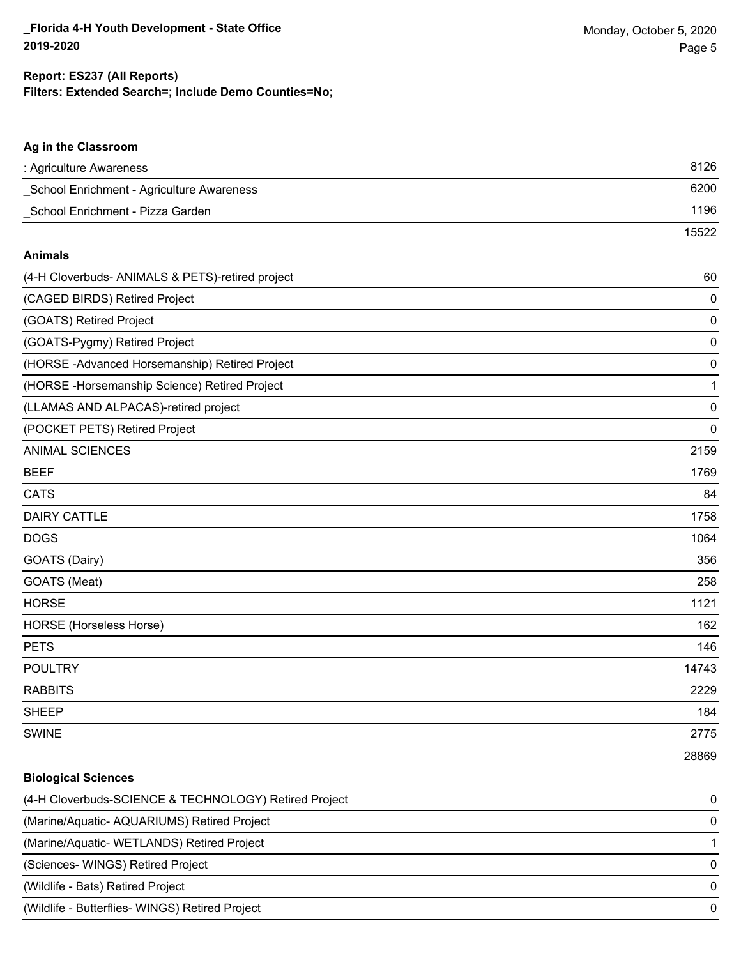#### **Ag in the Classroom**

| : Agriculture Awareness                               | 8126        |
|-------------------------------------------------------|-------------|
| School Enrichment - Agriculture Awareness             | 6200        |
| School Enrichment - Pizza Garden                      | 1196        |
|                                                       | 15522       |
| <b>Animals</b>                                        |             |
| (4-H Cloverbuds- ANIMALS & PETS)-retired project      | 60          |
| (CAGED BIRDS) Retired Project                         | 0           |
| (GOATS) Retired Project                               | $\mathbf 0$ |
| (GOATS-Pygmy) Retired Project                         | $\mathbf 0$ |
| (HORSE - Advanced Horsemanship) Retired Project       | $\mathbf 0$ |
| (HORSE - Horsemanship Science) Retired Project        | 1           |
| (LLAMAS AND ALPACAS)-retired project                  | $\mathbf 0$ |
| (POCKET PETS) Retired Project                         | 0           |
| <b>ANIMAL SCIENCES</b>                                | 2159        |
| <b>BEEF</b>                                           | 1769        |
| <b>CATS</b>                                           | 84          |
| <b>DAIRY CATTLE</b>                                   | 1758        |
| <b>DOGS</b>                                           | 1064        |
| GOATS (Dairy)                                         | 356         |
| GOATS (Meat)                                          | 258         |
| <b>HORSE</b>                                          | 1121        |
| HORSE (Horseless Horse)                               | 162         |
| <b>PETS</b>                                           | 146         |
| <b>POULTRY</b>                                        | 14743       |
| <b>RABBITS</b>                                        | 2229        |
| <b>SHEEP</b>                                          | 184         |
| <b>SWINE</b>                                          | 2775        |
|                                                       | 28869       |
| <b>Biological Sciences</b>                            |             |
| (4-H Cloverbuds-SCIENCE & TECHNOLOGY) Retired Project | 0           |
| (Marine/Aquatic- AQUARIUMS) Retired Project           | 0           |
| (Marine/Aquatic- WETLANDS) Retired Project            | 1           |
| (Sciences- WINGS) Retired Project                     | 0           |
| (Wildlife - Bats) Retired Project                     | 0           |
| (Wildlife - Butterflies- WINGS) Retired Project       | $\mathbf 0$ |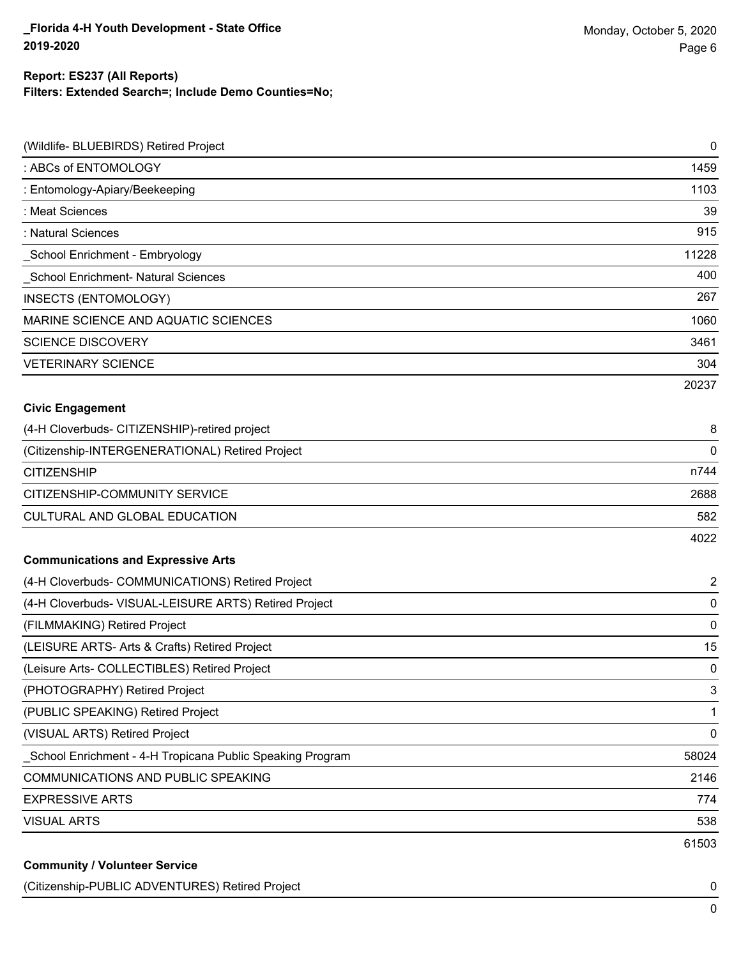### **Filters: Extended Search=; Include Demo Counties=No; Report: ES237 (All Reports)**

| (Wildlife- BLUEBIRDS) Retired Project                     | 0              |
|-----------------------------------------------------------|----------------|
| : ABCs of ENTOMOLOGY                                      | 1459           |
| : Entomology-Apiary/Beekeeping                            | 1103           |
| : Meat Sciences                                           | 39             |
| : Natural Sciences                                        | 915            |
| School Enrichment - Embryology                            | 11228          |
| School Enrichment- Natural Sciences                       | 400            |
| <b>INSECTS (ENTOMOLOGY)</b>                               | 267            |
| MARINE SCIENCE AND AQUATIC SCIENCES                       | 1060           |
| <b>SCIENCE DISCOVERY</b>                                  | 3461           |
| <b>VETERINARY SCIENCE</b>                                 | 304            |
|                                                           | 20237          |
| <b>Civic Engagement</b>                                   |                |
| (4-H Cloverbuds- CITIZENSHIP)-retired project             | 8              |
| (Citizenship-INTERGENERATIONAL) Retired Project           | 0              |
| <b>CITIZENSHIP</b>                                        | n744           |
| CITIZENSHIP-COMMUNITY SERVICE                             | 2688           |
| CULTURAL AND GLOBAL EDUCATION                             | 582            |
|                                                           | 4022           |
| <b>Communications and Expressive Arts</b>                 |                |
| (4-H Cloverbuds- COMMUNICATIONS) Retired Project          | $\overline{2}$ |
| (4-H Cloverbuds- VISUAL-LEISURE ARTS) Retired Project     | $\mathbf 0$    |
| (FILMMAKING) Retired Project                              | 0              |
| (LEISURE ARTS- Arts & Crafts) Retired Project             | 15             |
| (Leisure Arts- COLLECTIBLES) Retired Project              | 0              |
| (PHOTOGRAPHY) Retired Project                             | 3              |
| (PUBLIC SPEAKING) Retired Project                         | 1              |
| (VISUAL ARTS) Retired Project                             | 0              |
| School Enrichment - 4-H Tropicana Public Speaking Program | 58024          |
| COMMUNICATIONS AND PUBLIC SPEAKING                        | 2146           |
| <b>EXPRESSIVE ARTS</b>                                    | 774            |
| <b>VISUAL ARTS</b>                                        | 538            |
|                                                           | 61503          |
| <b>Community / Volunteer Service</b>                      |                |

#### (Citizenship-PUBLIC ADVENTURES) Retired Project 0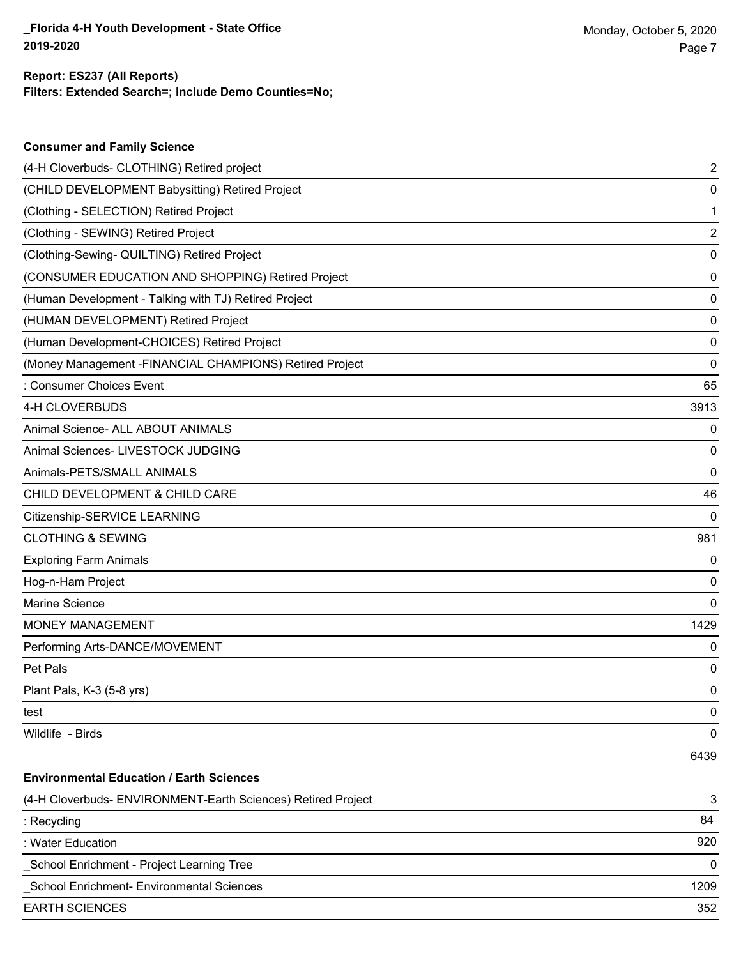| <b>Consumer and Family Science</b>                           |      |
|--------------------------------------------------------------|------|
| (4-H Cloverbuds- CLOTHING) Retired project                   | 2    |
| (CHILD DEVELOPMENT Babysitting) Retired Project              | 0    |
| (Clothing - SELECTION) Retired Project                       | 1    |
| (Clothing - SEWING) Retired Project                          | 2    |
| (Clothing-Sewing- QUILTING) Retired Project                  | 0    |
| (CONSUMER EDUCATION AND SHOPPING) Retired Project            | 0    |
| (Human Development - Talking with TJ) Retired Project        | 0    |
| (HUMAN DEVELOPMENT) Retired Project                          | 0    |
| (Human Development-CHOICES) Retired Project                  | 0    |
| (Money Management - FINANCIAL CHAMPIONS) Retired Project     | 0    |
| : Consumer Choices Event                                     | 65   |
| 4-H CLOVERBUDS                                               | 3913 |
| Animal Science- ALL ABOUT ANIMALS                            | 0    |
| Animal Sciences- LIVESTOCK JUDGING                           | 0    |
| Animals-PETS/SMALL ANIMALS                                   | 0    |
| CHILD DEVELOPMENT & CHILD CARE                               | 46   |
| Citizenship-SERVICE LEARNING                                 | 0    |
| <b>CLOTHING &amp; SEWING</b>                                 | 981  |
| <b>Exploring Farm Animals</b>                                | 0    |
| Hog-n-Ham Project                                            | 0    |
| <b>Marine Science</b>                                        | 0    |
| <b>MONEY MANAGEMENT</b>                                      | 1429 |
| Performing Arts-DANCE/MOVEMENT                               | 0    |
| Pet Pals                                                     | 0    |
| Plant Pals, K-3 (5-8 yrs)                                    | 0    |
| test                                                         | 0    |
| Wildlife - Birds                                             | 0    |
|                                                              | 6439 |
| <b>Environmental Education / Earth Sciences</b>              |      |
| (4-H Cloverbuds- ENVIRONMENT-Earth Sciences) Retired Project | 3    |
|                                                              |      |

| $\tau$ is closed based to subsequently the factor color local state in equal to $\tau$ | $\cdot$ |
|----------------------------------------------------------------------------------------|---------|
| : Recycling                                                                            | 84      |
| : Water Education                                                                      | 920     |
| School Enrichment - Project Learning Tree                                              |         |
| School Enrichment- Environmental Sciences                                              | 1209    |
| EARTH SCIENCES                                                                         | 352     |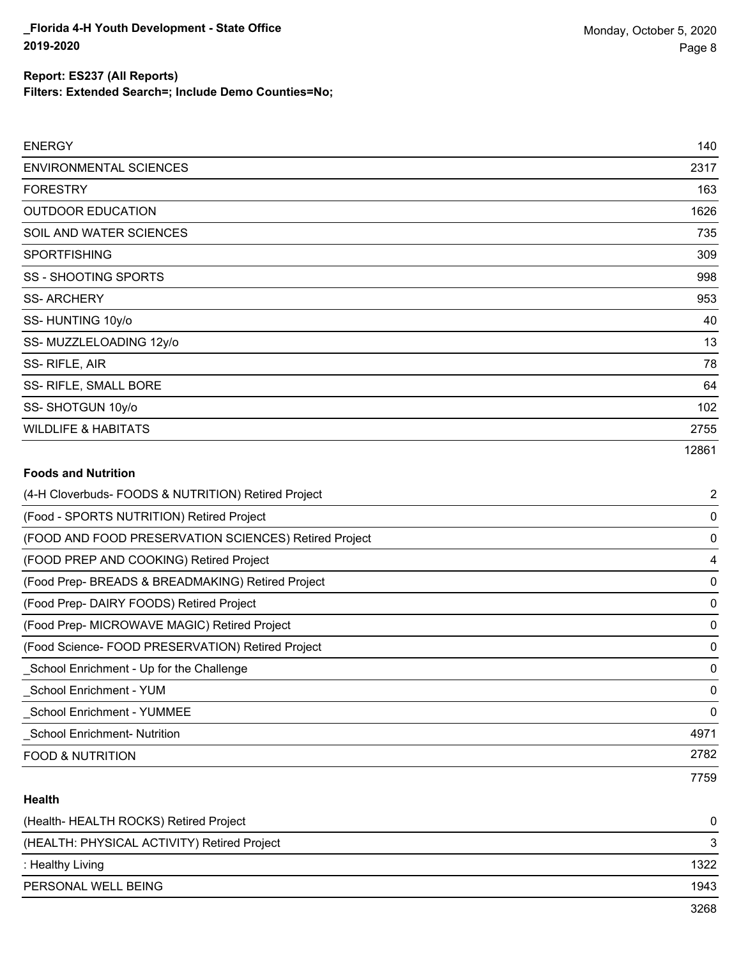#### **Filters: Extended Search=; Include Demo Counties=No; Report: ES237 (All Reports)**

| <b>ENERGY</b>                  | 140   |
|--------------------------------|-------|
| <b>ENVIRONMENTAL SCIENCES</b>  | 2317  |
| <b>FORESTRY</b>                | 163   |
| <b>OUTDOOR EDUCATION</b>       | 1626  |
| SOIL AND WATER SCIENCES        | 735   |
| <b>SPORTFISHING</b>            | 309   |
| <b>SS - SHOOTING SPORTS</b>    | 998   |
| <b>SS-ARCHERY</b>              | 953   |
| SS-HUNTING 10y/o               | 40    |
| SS-MUZZLELOADING 12y/o         | 13    |
| SS-RIFLE, AIR                  | 78    |
| SS- RIFLE, SMALL BORE          | 64    |
| SS-SHOTGUN 10y/o               | 102   |
| <b>WILDLIFE &amp; HABITATS</b> | 2755  |
|                                | 12861 |

### **Foods and Nutrition**

| (4-H Cloverbuds- FOODS & NUTRITION) Retired Project   | $\overline{2}$ |
|-------------------------------------------------------|----------------|
| (Food - SPORTS NUTRITION) Retired Project             | 0              |
| (FOOD AND FOOD PRESERVATION SCIENCES) Retired Project | 0              |
| (FOOD PREP AND COOKING) Retired Project               | 4              |
| (Food Prep- BREADS & BREADMAKING) Retired Project     | 0              |
| (Food Prep- DAIRY FOODS) Retired Project              | 0              |
| (Food Prep- MICROWAVE MAGIC) Retired Project          | 0              |
| (Food Science-FOOD PRESERVATION) Retired Project      | 0              |
| School Enrichment - Up for the Challenge              | 0              |
| School Enrichment - YUM                               | $\mathbf{0}$   |
| <b>School Enrichment - YUMMEE</b>                     | 0              |
| <b>School Enrichment- Nutrition</b>                   | 4971           |
| <b>FOOD &amp; NUTRITION</b>                           | 2782           |
|                                                       | 7759           |

### **Health**

| (Health-HEALTH ROCKS) Retired Project       | $\Omega$ |
|---------------------------------------------|----------|
| (HEALTH: PHYSICAL ACTIVITY) Retired Project | 3        |
| : Healthy Living                            | 1322     |
| PERSONAL WELL BEING                         | 1943     |
|                                             | 3268     |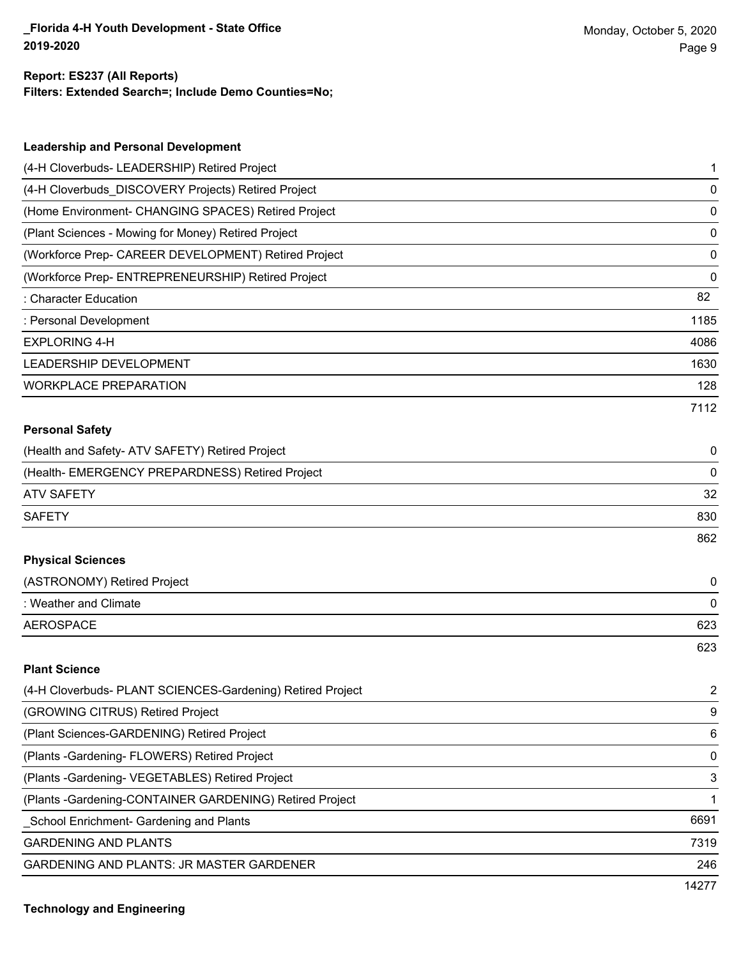14277

#### **Filters: Extended Search=; Include Demo Counties=No; Report: ES237 (All Reports)**

| <b>Leadership and Personal Development</b>                 |                         |
|------------------------------------------------------------|-------------------------|
| (4-H Cloverbuds- LEADERSHIP) Retired Project               | 1                       |
| (4-H Cloverbuds_DISCOVERY Projects) Retired Project        | 0                       |
| (Home Environment- CHANGING SPACES) Retired Project        | 0                       |
| (Plant Sciences - Mowing for Money) Retired Project        | 0                       |
| (Workforce Prep- CAREER DEVELOPMENT) Retired Project       | 0                       |
| (Workforce Prep- ENTREPRENEURSHIP) Retired Project         | 0                       |
| : Character Education                                      | 82                      |
| : Personal Development                                     | 1185                    |
| <b>EXPLORING 4-H</b>                                       | 4086                    |
| LEADERSHIP DEVELOPMENT                                     | 1630                    |
| <b>WORKPLACE PREPARATION</b>                               | 128                     |
|                                                            | 7112                    |
| <b>Personal Safety</b>                                     |                         |
| (Health and Safety- ATV SAFETY) Retired Project            | 0                       |
| (Health- EMERGENCY PREPARDNESS) Retired Project            | 0                       |
| <b>ATV SAFETY</b>                                          | 32                      |
| <b>SAFETY</b>                                              | 830                     |
|                                                            | 862                     |
| <b>Physical Sciences</b>                                   |                         |
| (ASTRONOMY) Retired Project                                | 0                       |
| : Weather and Climate                                      | 0                       |
| <b>AEROSPACE</b>                                           | 623                     |
|                                                            | 623                     |
| <b>Plant Science</b>                                       |                         |
| (4-H Cloverbuds- PLANT SCIENCES-Gardening) Retired Project | $\overline{\mathbf{c}}$ |
| (GROWING CITRUS) Retired Project                           | 9                       |
| (Plant Sciences-GARDENING) Retired Project                 | 6                       |
| (Plants - Gardening - FLOWERS) Retired Project             | 0                       |
| (Plants - Gardening - VEGETABLES) Retired Project          | 3                       |
| (Plants - Gardening-CONTAINER GARDENING) Retired Project   | 1                       |
| School Enrichment- Gardening and Plants                    | 6691                    |
| <b>GARDENING AND PLANTS</b>                                | 7319                    |
| GARDENING AND PLANTS: JR MASTER GARDENER                   | 246                     |